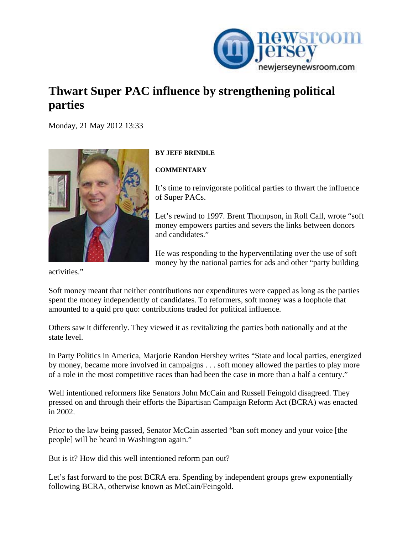

## **Thwart Super PAC influence by strengthening political parties**

[Mo](http://www.newjerseynewsroom.com/commentary/thwart-super-pac-influence-by-strengthening-political-parties/print)nday, 21 May 2012 13:33



## **BY JEFF BRINDLE**

**COMMENTARY** 

It's time to reinvigorate political parties to thwart the influence of Super PACs.

Let's rewind to 1997. Brent Thompson, in Roll Call, wrote "soft money empowers parties and severs the links between donors and candidates."

He was responding to the hyperventilating over the use of soft money by the national parties for ads and other "party building

activities."

Soft money meant that neither contributions nor expenditures were capped as long as the parties spent the money independently of candidates. To reformers, soft money was a loophole that amounted to a quid pro quo: contributions traded for political influence.

Others saw it differently. They viewed it as revitalizing the parties both nationally and at the state level.

In Party Politics in America, Marjorie Randon Hershey writes "State and local parties, energized by money, became more involved in campaigns . . . soft money allowed the parties to play more of a role in the most competitive races than had been the case in more than a half a century."

Well intentioned reformers like Senators John McCain and Russell Feingold disagreed. They pressed on and through their efforts the Bipartisan Campaign Reform Act (BCRA) was enacted in 2002.

Prior to the law being passed, Senator McCain asserted "ban soft money and your voice [the people] will be heard in Washington again."

But is it? How did this well intentioned reform pan out?

Let's fast forward to the post BCRA era. Spending by independent groups grew exponentially following BCRA, otherwise known as McCain/Feingold.